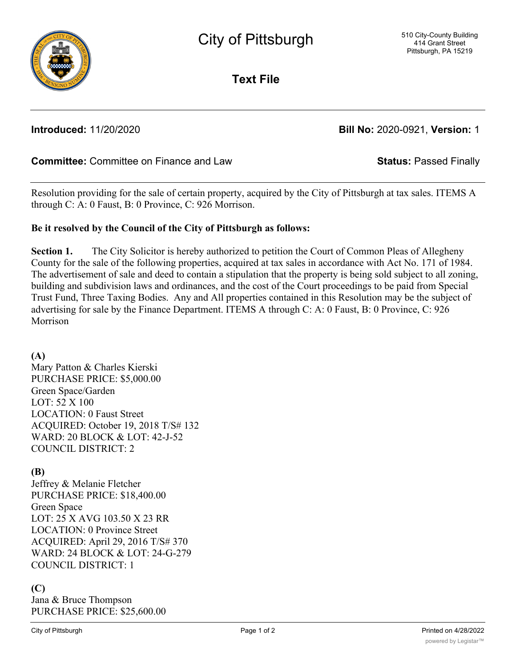

**Text File**

# **Introduced:** 11/20/2020 **Bill No:** 2020-0921, **Version:** 1

# **Committee:** Committee on Finance and Law **Status:** Passed Finally

Resolution providing for the sale of certain property, acquired by the City of Pittsburgh at tax sales. ITEMS A through C: A: 0 Faust, B: 0 Province, C: 926 Morrison.

### **Be it resolved by the Council of the City of Pittsburgh as follows:**

**Section 1.** The City Solicitor is hereby authorized to petition the Court of Common Pleas of Allegheny County for the sale of the following properties, acquired at tax sales in accordance with Act No. 171 of 1984. The advertisement of sale and deed to contain a stipulation that the property is being sold subject to all zoning, building and subdivision laws and ordinances, and the cost of the Court proceedings to be paid from Special Trust Fund, Three Taxing Bodies. Any and All properties contained in this Resolution may be the subject of advertising for sale by the Finance Department. ITEMS A through C: A: 0 Faust, B: 0 Province, C: 926 Morrison

**(A)** Mary Patton & Charles Kierski PURCHASE PRICE: \$5,000.00 Green Space/Garden LOT: 52 X 100 LOCATION: 0 Faust Street ACQUIRED: October 19, 2018 T/S# 132 WARD: 20 BLOCK & LOT: 42-J-52 COUNCIL DISTRICT: 2

### **(B)**

Jeffrey & Melanie Fletcher PURCHASE PRICE: \$18,400.00 Green Space LOT: 25 X AVG 103.50 X 23 RR LOCATION: 0 Province Street ACQUIRED: April 29, 2016 T/S# 370 WARD: 24 BLOCK & LOT: 24-G-279 COUNCIL DISTRICT: 1

## **(C)**

Jana & Bruce Thompson PURCHASE PRICE: \$25,600.00